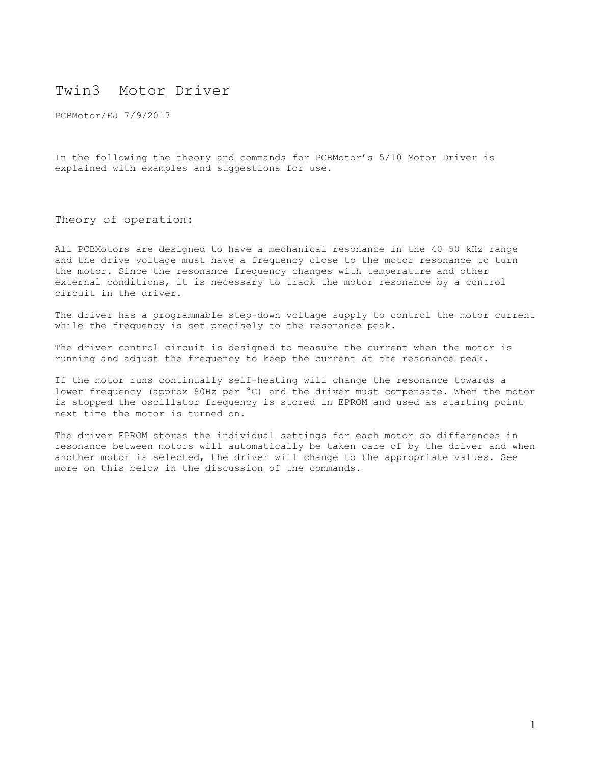# Twin3 Motor Driver

PCBMotor/EJ 7/9/2017

In the following the theory and commands for PCBMotor's 5/10 Motor Driver is explained with examples and suggestions for use.

## Theory of operation:

All PCBMotors are designed to have a mechanical resonance in the 40–50 kHz range and the drive voltage must have a frequency close to the motor resonance to turn the motor. Since the resonance frequency changes with temperature and other external conditions, it is necessary to track the motor resonance by a control circuit in the driver.

The driver has a programmable step-down voltage supply to control the motor current while the frequency is set precisely to the resonance peak.

The driver control circuit is designed to measure the current when the motor is running and adjust the frequency to keep the current at the resonance peak.

If the motor runs continually self-heating will change the resonance towards a lower frequency (approx 80Hz per °C) and the driver must compensate. When the motor is stopped the oscillator frequency is stored in EPROM and used as starting point next time the motor is turned on.

The driver EPROM stores the individual settings for each motor so differences in resonance between motors will automatically be taken care of by the driver and when another motor is selected, the driver will change to the appropriate values. See more on this below in the discussion of the commands.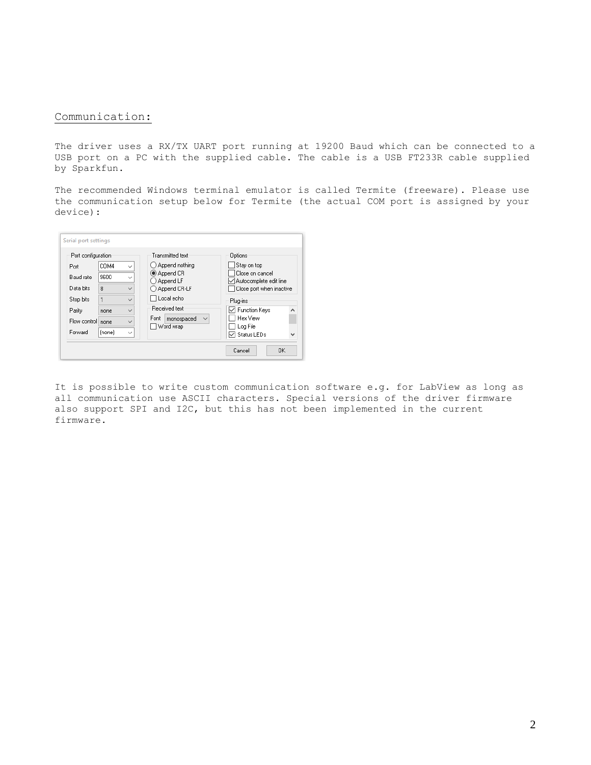## Communication:

The driver uses a RX/TX UART port running at 19200 Baud which can be connected to a USB port on a PC with the supplied cable. The cable is a USB FT233R cable supplied by Sparkfun.

The recommended Windows terminal emulator is called Termite (freeware). Please use the communication setup below for Termite (the actual COM port is assigned by your device):

| Port configuration |        |              | Transmitted text            | Options                                            |
|--------------------|--------|--------------|-----------------------------|----------------------------------------------------|
| Port               | COM4   | $\checkmark$ | ◯ Append nothing            | Stay on top                                        |
| Baud rate          | 9600   | $\checkmark$ | Append CR                   | Close on cancel                                    |
| Data bits          | 8      | $\checkmark$ | Append LF<br>◯ Append CR-LF | Autocomplete edit line<br>Close port when inactive |
| Stop bits          | 1      | $\checkmark$ | □ Local echo                | <b>Plug-ins</b>                                    |
| Parity             | none   | $\checkmark$ | Received text               | └ Function Keys                                    |
| Flow control       | none   | $\checkmark$ | Font<br>monospaced          | Hex View                                           |
| Forward            | (none) | $\checkmark$ | Word wrap                   | Log File<br><b>▽</b> Status LEDs                   |

It is possible to write custom communication software e.g. for LabView as long as all communication use ASCII characters. Special versions of the driver firmware also support SPI and I2C, but this has not been implemented in the current firmware.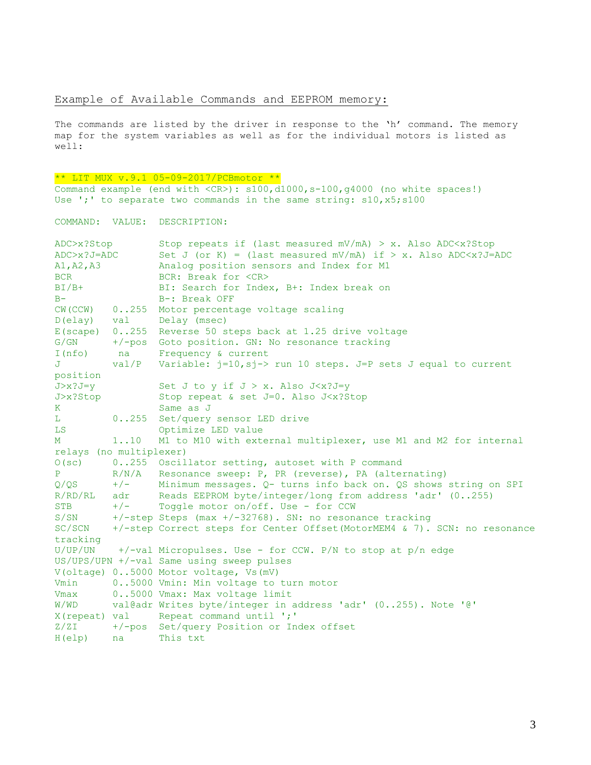## Example of Available Commands and EEPROM memory:

The commands are listed by the driver in response to the 'h' command. The memory map for the system variables as well as for the individual motors is listed as well:

```
** LIT MUX v.9.1 05-09-2017/PCBmotor **
```
Command example (end with <CR>): s100,d1000,s-100,g4000 (no white spaces!) Use ';' to separate two commands in the same string: s10,x5;s100

COMMAND: VALUE: DESCRIPTION:

| ADC>x?Stop              |         | Stop repeats if (last measured mV/mA) > x. Also ADC $\langle x \rangle$ Stop    |
|-------------------------|---------|---------------------------------------------------------------------------------|
| $ADC > x ?J = ADC$      |         | Set J (or K) = (last measured mV/mA) if > x. Also ADC $\langle x \rangle$ J=ADC |
| A1, A2, A3              |         | Analog position sensors and Index for M1                                        |
| <b>BCR</b>              |         | BCR: Break for <cr></cr>                                                        |
| $BI/B+$                 |         | BI: Search for Index, B+: Index break on                                        |
| $B -$                   |         | B-: Break OFF                                                                   |
| CW (CCW)                |         | 0255 Motor percentage voltage scaling                                           |
| D(elay) val             |         | Delay (msec)                                                                    |
| $E$ (scape) $0.0255$    |         | Reverse 50 steps back at 1.25 drive voltage                                     |
| G/GN                    | +/-pos  | Goto position. GN: No resonance tracking                                        |
| I(nfo)                  | na      | Frequency & current                                                             |
| J                       | val/P   | Variable: j=10, sj-> run 10 steps. J=P sets J equal to current                  |
| position                |         |                                                                                 |
| $J > x ? J = y$         |         | Set J to y if $J > x$ . Also J $\langle x \rangle$ J=y                          |
| J>x?Stop                |         | Stop repeat & set J=0. Also J <x?stop< td=""></x?stop<>                         |
| $K_{\parallel}$         |         | Same as J                                                                       |
| L                       | 0. .255 | Set/query sensor LED drive                                                      |
| LS                      |         | Optimize LED value                                                              |
| М                       | 1.10    | M1 to M10 with external multiplexer, use M1 and M2 for internal                 |
| relays (no multiplexer) |         |                                                                                 |
|                         |         | O(sc) 0255 Oscillator setting, autoset with P command                           |
| P                       | R/N/A   | Resonance sweep: P, PR (reverse), PA (alternating)                              |
| $Q/QS$ $+/-$            |         | Minimum messages. Q- turns info back on. QS shows string on SPI                 |
| R/RD/RL                 | adr     | Reads EEPROM byte/integer/long from address 'adr' (0255)                        |
| <b>STB</b>              | $+/-$   | Toggle motor on/off. Use - for CCW                                              |
| S/SN                    |         | $+/-$ step Steps (max $+/-32768$ ). SN: no resonance tracking                   |
| SC/SCN                  |         | +/-step Correct steps for Center Offset (MotorMEM4 & 7). SCN: no resonance      |
| tracking                |         |                                                                                 |
| U/UP/UN                 |         | +/-val Micropulses. Use - for CCW. P/N to stop at $p/n$ edge                    |
|                         |         | US/UPS/UPN +/-val Same using sweep pulses                                       |
|                         |         | V(oltage) 05000 Motor voltage, Vs(mV)                                           |
| Vmin                    |         | 05000 Vmin: Min voltage to turn motor                                           |
| Vmax                    |         | 05000 Vmax: Max voltage limit                                                   |
| W/WD                    |         | val@adr Writes byte/integer in address 'adr' (0255). Note '@'                   |
|                         |         | X(repeat) val Repeat command until ';'                                          |
| Z/ZI                    |         | +/-pos Set/query Position or Index offset                                       |
| $H$ (elp)               | na      | This txt                                                                        |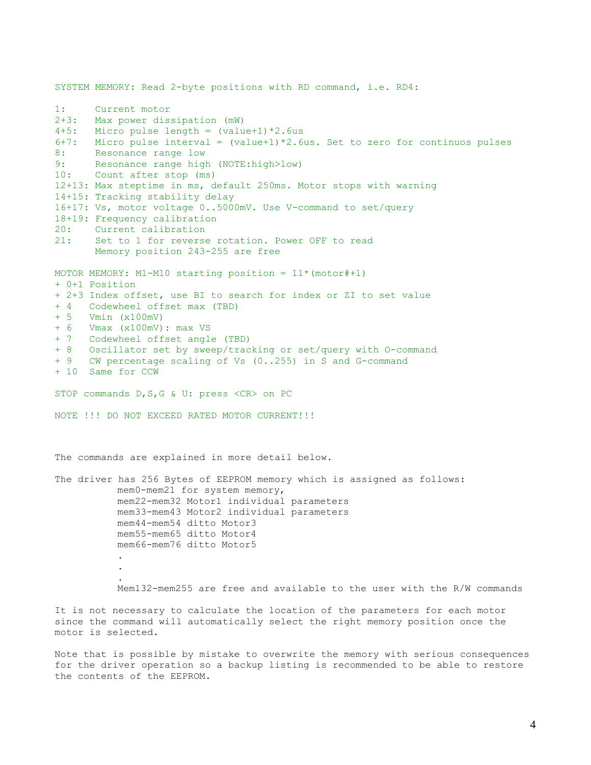SYSTEM MEMORY: Read 2-byte positions with RD command, i.e. RD4: 1: Current motor 2+3: Max power dissipation (mW) 4+5: Micro pulse length =  $\text{(value+1)} \times 2.6 \text{us}$ 6+7: Micro pulse interval = (value+1)\*2.6us. Set to zero for continuos pulses 8: Resonance range low 9: Resonance range high (NOTE:high>low) 10: Count after stop (ms) 12+13: Max steptime in ms, default 250ms. Motor stops with warning 14+15: Tracking stability delay 16+17: Vs, motor voltage 0..5000mV. Use V-command to set/query 18+19: Frequency calibration 20: Current calibration 21: Set to 1 for reverse rotation. Power OFF to read Memory position 243-255 are free MOTOR MEMORY: M1-M10 starting position =  $11*(\text{motor} #+1)$ + 0+1 Position + 2+3 Index offset, use BI to search for index or ZI to set value + 4 Codewheel offset max (TBD) + 5 Vmin (x100mV) + 6 Vmax (x100mV): max VS + 7 Codewheel offset angle (TBD) + 8 Oscillator set by sweep/tracking or set/query with O-command + 9 CW percentage scaling of Vs (0..255) in S and G-command + 10 Same for CCW STOP commands D, S, G & U: press <CR> on PC NOTE !!! DO NOT EXCEED RATED MOTOR CURRENT!!! The commands are explained in more detail below. The driver has 256 Bytes of EEPROM memory which is assigned as follows: mem0-mem21 for system memory, mem22-mem32 Motor1 individual parameters mem33-mem43 Motor2 individual parameters mem44-mem54 ditto Motor3 mem55-mem65 ditto Motor4 mem66-mem76 ditto Motor5 . . . Mem132-mem255 are free and available to the user with the R/W commands It is not necessary to calculate the location of the parameters for each motor since the command will automatically select the right memory position once the

Note that is possible by mistake to overwrite the memory with serious consequences for the driver operation so a backup listing is recommended to be able to restore the contents of the EEPROM.

motor is selected.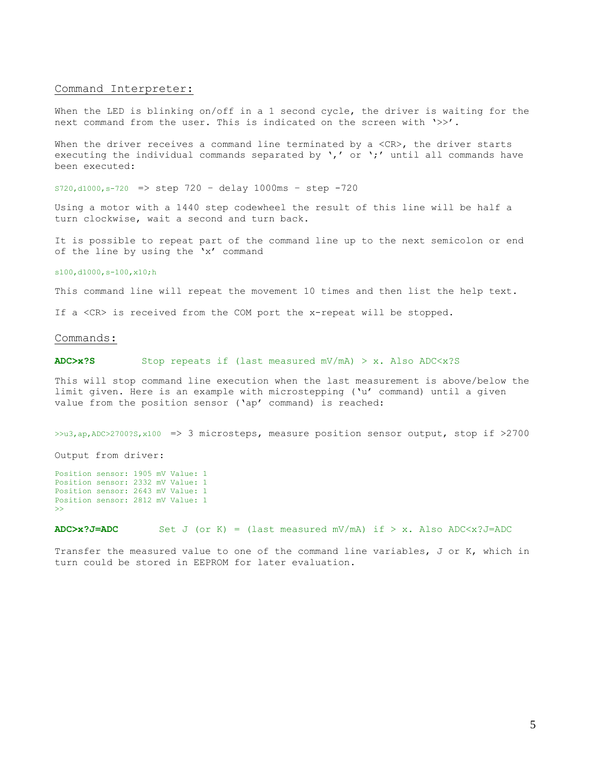#### Command Interpreter:

When the LED is blinking on/off in a 1 second cycle, the driver is waiting for the next command from the user. This is indicated on the screen with '>>'.

When the driver receives a command line terminated by a  $\langle CR \rangle$ , the driver starts executing the individual commands separated by  $\prime$ ,' or  $\prime$ ;' until all commands have been executed:

 $s720, d1000, s-720$  => step  $720 - delay 1000ms - step -720$ 

Using a motor with a 1440 step codewheel the result of this line will be half a turn clockwise, wait a second and turn back.

It is possible to repeat part of the command line up to the next semicolon or end of the line by using the 'x' command

### s100,d1000,s-100,x10;h

This command line will repeat the movement 10 times and then list the help text.

If a <CR> is received from the COM port the x-repeat will be stopped.

#### Commands:

## **ADC>x?S** Stop repeats if (last measured mV/mA) > x. Also ADC<x?S

This will stop command line execution when the last measurement is above/below the limit given. Here is an example with microstepping ('u' command) until a given value from the position sensor ('ap' command) is reached:

>>u3,ap,ADC>2700?S,x100 => 3 microsteps, measure position sensor output, stop if >2700

Output from driver:

Position sensor: 1905 mV Value: 1 Position sensor: 2332 mV Value: 1 Position sensor: 2643 mV Value: 1 Position sensor: 2812 mV Value: 1 >>

**ADC>x?J=ADC** Set J (or K) = (last measured mV/mA) if > x. Also ADC $\ltimes$ x?J=ADC

Transfer the measured value to one of the command line variables, J or K, which in turn could be stored in EEPROM for later evaluation.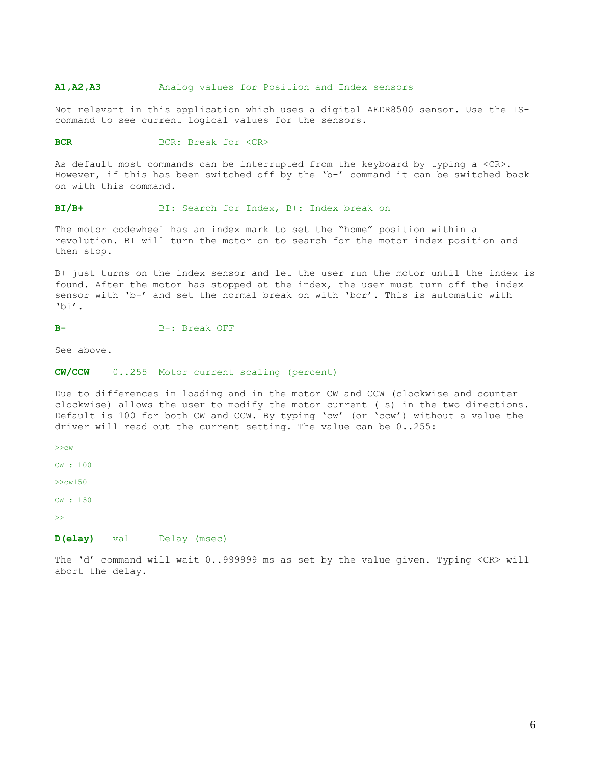## **A1,A2,A3** Analog values for Position and Index sensors

Not relevant in this application which uses a digital AEDR8500 sensor. Use the IScommand to see current logical values for the sensors.

#### **BCR:** BCR: Break for <CR>

As default most commands can be interrupted from the keyboard by typing a <CR>. However, if this has been switched off by the 'b-' command it can be switched back on with this command.

## **BI/B+** BI: Search for Index, B+: Index break on

The motor codewheel has an index mark to set the "home" position within a revolution. BI will turn the motor on to search for the motor index position and then stop.

B+ just turns on the index sensor and let the user run the motor until the index is found. After the motor has stopped at the index, the user must turn off the index sensor with 'b-' and set the normal break on with 'bcr'. This is automatic with 'bi'.

#### B-: Break OFF

See above.

### **CW/CCW** 0..255 Motor current scaling (percent)

Due to differences in loading and in the motor CW and CCW (clockwise and counter clockwise) allows the user to modify the motor current (Is) in the two directions. Default is 100 for both CW and CCW. By typing 'cw' (or 'ccw') without a value the driver will read out the current setting. The value can be 0..255:

>>cw

CW : 100

>>cw150

CW : 150

>>

### **D(elay)** val Delay (msec)

The 'd' command will wait 0..999999 ms as set by the value given. Typing <CR> will abort the delay.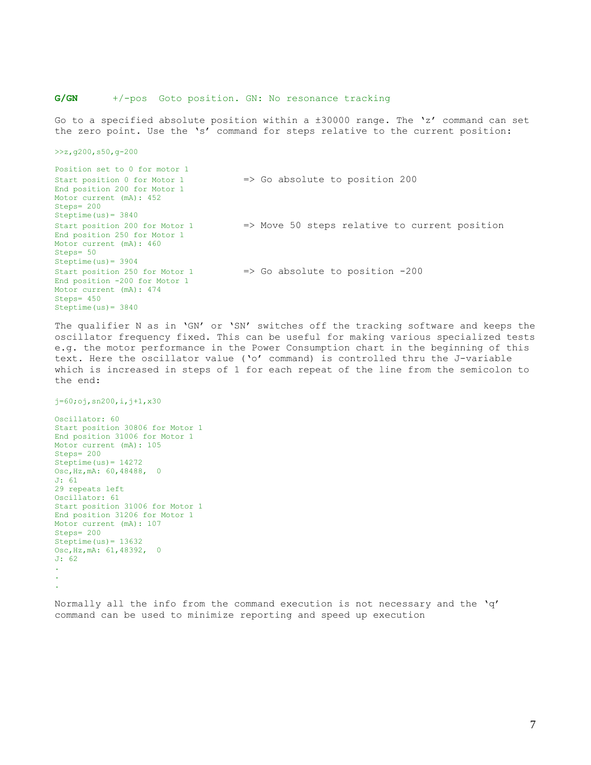## **G/GN** +/-pos Goto position. GN: No resonance tracking

Go to a specified absolute position within a ±30000 range. The 'z' command can set the zero point. Use the 's' command for steps relative to the current position:

>>z,g200,s50,g-200

Position set to 0 for motor 1 Start position 0 for Motor 1 => Go absolute to position 200 End position 200 for Motor 1 Motor current (mA): 452 Steps= 200 Steptime(us)= 3840 Start position 200 for Motor 1 => Move 50 steps relative to current position End position 250 for Motor 1 Motor current (mA): 460 Steps= 50 Steptime(us)= 3904 Start position 250 for Motor 1 => Go absolute to position -200 End position -200 for Motor 1 Motor current (mA): 474 Steps= 450 Steptime(us)= 3840

The qualifier N as in 'GN' or 'SN' switches off the tracking software and keeps the oscillator frequency fixed. This can be useful for making various specialized tests e.g. the motor performance in the Power Consumption chart in the beginning of this text. Here the oscillator value ('o' command) is controlled thru the J-variable which is increased in steps of 1 for each repeat of the line from the semicolon to the end:

 $j=60;$ oj,sn200,i, $j+1$ ,x30

Oscillator: 60 Start position 30806 for Motor 1 End position 31006 for Motor 1 Motor current (mA): 105 Steps= 200 Steptime $(us)= 14272$ Osc,Hz,mA: 60,48488, 0 J: 61 29 repeats left Oscillator: 61 Start position 31006 for Motor 1 End position 31206 for Motor 1 Motor current (mA): 107 Steps= 200 Steptime $(us) = 13632$ Osc,Hz,mA: 61,48392, 0 J: 62 . . .

Normally all the info from the command execution is not necessary and the 'q' command can be used to minimize reporting and speed up execution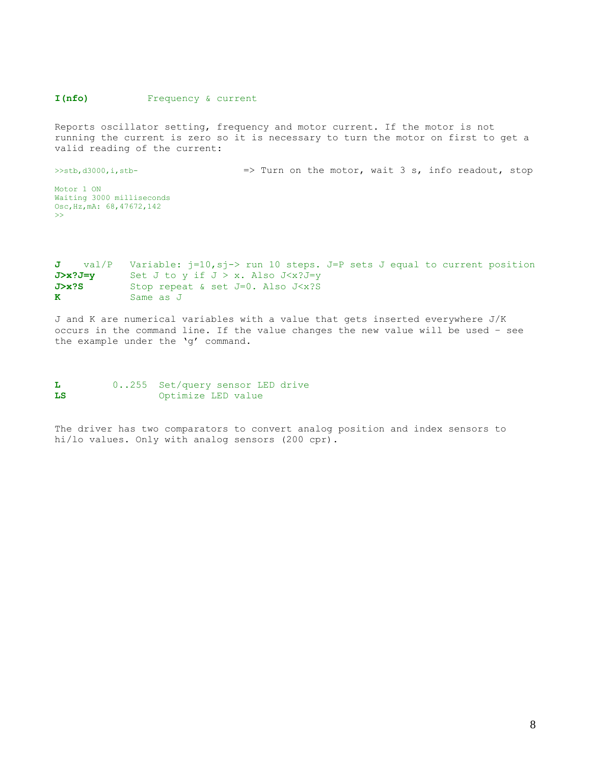## **I(nfo)** Frequency & current

Reports oscillator setting, frequency and motor current. If the motor is not running the current is zero so it is necessary to turn the motor on first to get a valid reading of the current:

>>stb,d3000,i,stb-  $\Rightarrow$  Turn on the motor, wait 3 s, info readout, stop Motor 1 ON Waiting 3000 milliseconds Osc,Hz,mA: 68,47672,142 >>

## **J** val/P Variable: j=10, sj-> run 10 steps. J=P sets J equal to current position **J>x?J=y** Set J to y if J > x. Also J<x?J=y **J>x?S** Stop repeat & set J=0. Also J<x?S **K** Same as J

J and K are numerical variables with a value that gets inserted everywhere J/K occurs in the command line. If the value changes the new value will be used – see the example under the 'g' command.

```
L 0..255 Set/query sensor LED drive
LS Optimize LED value
```
The driver has two comparators to convert analog position and index sensors to hi/lo values. Only with analog sensors (200 cpr).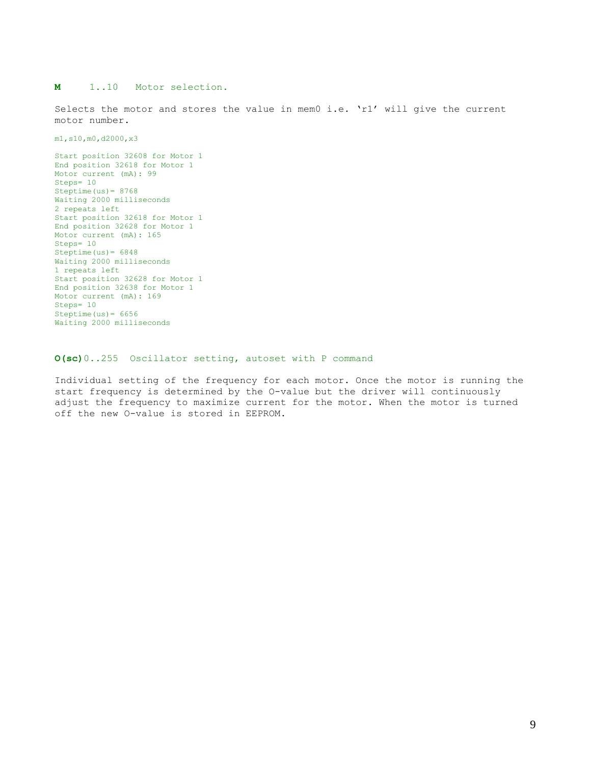## **M** 1..10 Motor selection.

Selects the motor and stores the value in mem0 i.e. 'r1' will give the current motor number.

m1,s10,m0,d2000,x3

Start position 32608 for Motor 1 End position 32618 for Motor 1 Motor current (mA): 99 Steps= 10 Steptime $(us) = 8768$ Waiting 2000 milliseconds 2 repeats left Start position 32618 for Motor 1 End position 32628 for Motor 1 Motor current (mA): 165 Steps= 10 Steptime $(us) = 6848$ Waiting 2000 milliseconds 1 repeats left Start position 32628 for Motor 1 End position 32638 for Motor 1 Motor current (mA): 169 Steps= 10 Steptime $(us) = 6656$ Waiting 2000 milliseconds

### **O(sc)**0..255 Oscillator setting, autoset with P command

Individual setting of the frequency for each motor. Once the motor is running the start frequency is determined by the O-value but the driver will continuously adjust the frequency to maximize current for the motor. When the motor is turned off the new O-value is stored in EEPROM.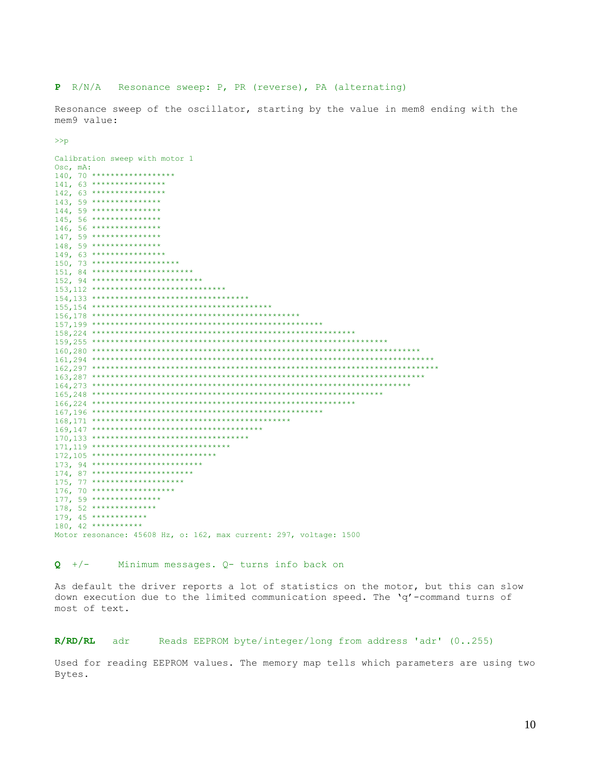## **P** R/N/A Resonance sweep: P, PR (reverse), PA (alternating)

Resonance sweep of the oscillator, starting by the value in mem8 ending with the mem9 value:

>>p

|                | Calibration sweep with motor 1                                     |
|----------------|--------------------------------------------------------------------|
| $Osc$ , $mA$ : |                                                                    |
|                | 140, 70 *******************                                        |
|                | 141, 63 *****************                                          |
|                | $142, 63$ *****************                                        |
|                | 143, 59 ****************                                           |
|                | $144.59$ ****************                                          |
|                | 145, 56 ****************                                           |
|                | 146, 56 ****************                                           |
|                | $147, 59$ ****************                                         |
|                | 148, 59 ****************                                           |
|                | 149, 63 *****************                                          |
|                | 150, 73 ********************                                       |
|                | $151, 84$ ***********************                                  |
|                | 152, 94 *************************                                  |
|                | 153, 112 ******************************                            |
|                |                                                                    |
|                |                                                                    |
|                |                                                                    |
|                |                                                                    |
|                |                                                                    |
|                |                                                                    |
|                |                                                                    |
|                |                                                                    |
|                |                                                                    |
|                |                                                                    |
|                |                                                                    |
|                |                                                                    |
|                |                                                                    |
|                |                                                                    |
|                |                                                                    |
|                |                                                                    |
|                |                                                                    |
|                | 171, 119 *******************************                           |
|                | 172,105 ****************************                               |
|                | 173, 94 *************************                                  |
|                | 174, 87 ***********************                                    |
|                |                                                                    |
|                | 175, 77 *********************                                      |
|                | 176, 70 *******************                                        |
|                | 177, 59 ****************                                           |
|                | 178, 52 ***************                                            |
|                | 179, 45 *************                                              |
|                | 180, 42 ***********                                                |
|                | Motor resonance: 45608 Hz, o: 162, max current: 297, voltage: 1500 |

## **Q** +/- Minimum messages. Q- turns info back on

As default the driver reports a lot of statistics on the motor, but this can slow down execution due to the limited communication speed. The 'q'-command turns of most of text.

## **R/RD/RL** adr Reads EEPROM byte/integer/long from address 'adr' (0..255)

Used for reading EEPROM values. The memory map tells which parameters are using two Bytes.